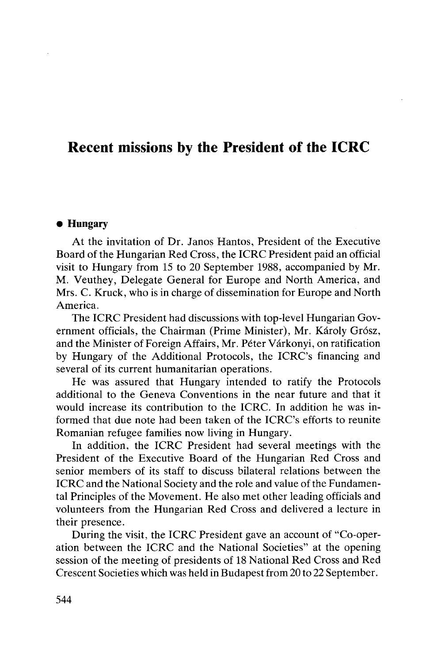## Recent missions by the President of the ICRC

## **• Hungary**

At the invitation of Dr. Janos Hantos, President of the Executive Board of the Hungarian Red Cross, the ICRC President paid an official visit to Hungary from 15 to 20 September 1988, accompanied by Mr. M. Veuthey, Delegate General for Europe and North America, and Mrs. C. Kruck, who is in charge of dissemination for Europe and North America.

The ICRC President had discussions with top-level Hungarian Government officials, the Chairman (Prime Minister), Mr. Károly Grósz, and the Minister of Foreign Affairs, Mr. Péter Várkonyi, on ratification by Hungary of the Additional Protocols, the ICRC's financing and several of its current humanitarian operations.

He was assured that Hungary intended to ratify the Protocols additional to the Geneva Conventions in the near future and that it would increase its contribution to the ICRC. In addition he was informed that due note had been taken of the ICRC's efforts to reunite Romanian refugee families now living in Hungary.

In addition, the ICRC President had several meetings with the President of the Executive Board of the Hungarian Red Cross and senior members of its staff to discuss bilateral relations between the ICRC and the National Society and the role and value of the Fundamental Principles of the Movement. He also met other leading officials and volunteers from the Hungarian Red Cross and delivered a lecture in their presence.

During the visit, the ICRC President gave an account of "Co-operation between the ICRC and the National Societies" at the opening session of the meeting of presidents of 18 National Red Cross and Red Crescent Societies which was held in Budapest from 20 to 22 September.